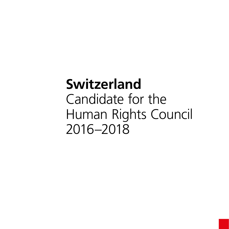# **Switzerland** Candidate for the Human Rights Council 2016–2018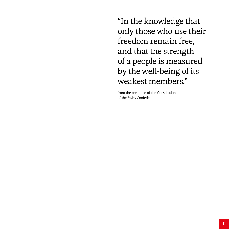"In the knowledge that only those who use their freedom remain free, and that the strength of a people is measured by the well-being of its weakest members."

from the preamble of the Constitution of the Swiss Confederation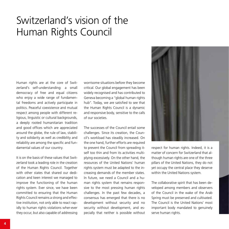### Switzerland's vision of the Human Rights Council

Human rights are at the core of Switzerland's self-understanding: a small democracy of free and equal citizens who enjoy a wide range of fundamental freedoms and actively participate in politics. Peaceful coexistence and mutual respect among people with different religious, linguistic or cultural backgrounds, a deeply rooted humanitarian tradition and good offices which are appreciated around the globe, the rule of law, stability and solidarity as well as credibility and reliability are among the specific and fundamental values of our country.

It is on the basis of these values that Switzerland took a leading role in the creation of the Human Rights Council. Together with other states that shared our dedication and keen interest we managed to improve the functioning of the human rights system. Ever since, we have been committed to ensuring that the Human Rights Council remains a strong and effective institution, not only able to react rapidly to human rights violations wher-ever they occur, but also capable of addressing worrisome situations before they become critical. Our global engagement has been widely recognised and has contributed to Geneva becoming a "global human rights hub". Today, we are satisfied to see that the Human Rights Council is a dynamic and responsive body, sensitive to the calls of our societies.

The successes of the Council entail some challenges. Since its creation, the Council's workload has steadily increased. On the one hand, further efforts are required to prevent the Council from spreading itself too thin and from its activities multiplying excessively. On the other hand, the resources of the United Nations' human rights system must be adapted to the increasing demands of the member states. In future, we need a Council and a human rights system that remains responsive to the most pressing human rights challenges. In the past few decades, a consensus has emerged that there is no development without security and no security without development, and especially that neither is possible without



respect for human rights. Indeed, it is a matter of concern for Switzerland that although human rights are one of the three pillars of the United Nations, they do not yet occupy the central place they deserve within the United Nations system.

The collaborative spirit that has been developed among members and observers of the Council in the wake of the Arab Spring must be preserved and cultivated. The Council is the United Nations' most important body mandated to genuinely serve human rights.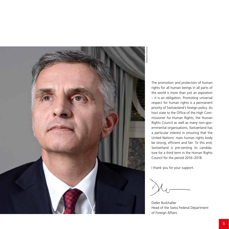

© Béatrice Devènes **D** Béatrice Devè

> The promotion and protection of human rights for all human beings in all parts of the world is more than just an aspiration – it is an obligation. Promoting universal respect for human rights is a permanent priority of Switzerland's foreign policy. As host state to the Office of the High Commissioner for Human Rights, the Human Rights Council as well as many non-governmental organisations, Switzerland has a particular interest in ensuring that the United Nations' main human rights body be strong, efficient and fair. To this end, Switzerland is pre-senting its candidature for a third term in the Human Rights Council for the period 2016–2018.

I thank you for your support.

Didier Burkhalter Head of the Swiss Federal Department of Foreign Affairs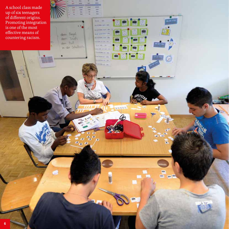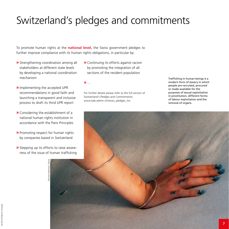# Switzerland's pledges and commitments

To promote human rights at the **national level,** the Swiss government pledges to further improve compliance with its human rights obligations, in particular by:

- **»** Strengthening coordination among all stakeholders at different state levels by developing a national coordination mechanism
- **»** Continuing its efforts against racism by promoting the integration of all sections of the resident population
- **»** Implementing the accepted UPR recommendations in good faith and launching a transparent and inclusive process to draft its third UPR report
- **»** Considering the establishment of a national human rights institution in accordance with the Paris Principles
- **»** Promoting respect for human rights by companies based in Switzerland
- **»** Stepping up its efforts to raise awareness of the issue of human trafficking

© Karen Robinson / Panos

**»** …

For further details please refer to the full version of Switzerland's Pledges and Commitments: www.eda.admin.ch/swiss\_pledges\_hrc

Trafficking in human beings is a modern form of slavery in which people are recruited, procured or made available for the purposes of sexual exploitation in prostitution, different forms of labour exploitation and the removal of organs.

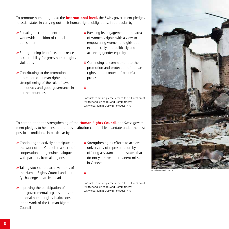To promote human rights at the **international level,** the Swiss government pledges to assist states in carrying out their human rights obligations, in particular by:

- **»** Pursuing its commitment to the worldwide abolition of capital punishment
- **»** Strengthening its efforts to increase accountability for gross human rights violations
- **»** Contributing to the promotion and protection of human rights, the strengthening of the rule of law, democracy and good governance in partner countries
- **»** Pursuing its engagement in the area of women's rights with a view to empowering women and girls both economically and politically and achieving gender equality
- **»** Continuing its commitment to the promotion and protection of human rights in the context of peaceful protests

**»** …

For further details please refer to the full version of Switzerland's Pledges and Commitments: www.eda.admin.ch/swiss\_pledges\_hrc

To contribute to the strengthening of the **Human Rights Council,** the Swiss government pledges to help ensure that this institution can fulfil its mandate under the best possible conditions, in particular by:

- **»** Continuing to actively participate in the work of the Council in a spirit of cooperation and genuine dialogue with partners from all regions;
- **»** Taking stock of the achievements of the Human Rights Council and identify challenges that lie ahead
- **»** Improving the participation of non-governmental organisations and national human rights institutions in the work of the Human Rights Council
- **»** Strengthening its efforts to achieve universality of representation by offering assistance to the states that do not yet have a permanent mission in Geneva

**»** …

For further details please refer to the full version of Switzerland's Pledges and Commitments: www.eda.admin.ch/swiss\_pledges\_hrc



© William Daniels / Panos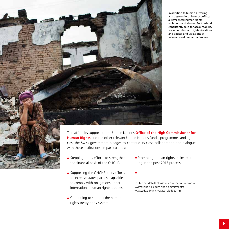In addition to human suffering and destruction, violent conflicts always entail human rights violations and abuses. Switzerland consistently calls for accountability for serious human rights violations and abuses and violations of international humanitarian law.



To reaffirm its support for the United Nations **Office of the High Commissioner for Human Rights** and the other relevant United Nations funds, programmes and agencies, the Swiss government pledges to continue its close collaboration and dialogue with these institutions, in particular by:

- **»** Stepping up its efforts to strengthen the financial basis of the OHCHR
- **»** Supporting the OHCHR in its efforts to increase states parties' capacities to comply with obligations under international human rights treaties
- **»** Continuing to support the human rights treaty body system

**»** Promoting human rights mainstreaming in the post-2015 process

**»** …

For further details please refer to the full version of Switzerland's Pledges and Commitments: www.eda.admin.ch/swiss\_pledges\_hrc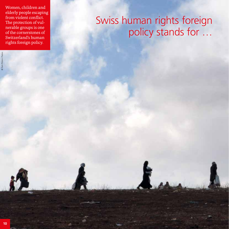Women, children and elderly people escaping from violent conflict. The protection of vulnerable groups is one of the cornerstones of Switzerland's human rights foreign policy.

© Tom Pilston / Panos

## Swiss human rights foreign policy stands for …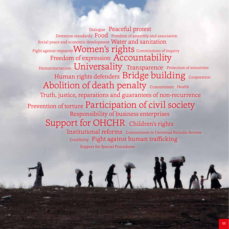Abolition of death penalty Commitment Health Dialogue Peaceful protest Human rights defenders  $\operatorname{Bridge}$  buil $\dim$ g  $_{\operatorname{\mathsf{Cooperation}}}$ Credibility Fight against human trafficking Humanitarianism  $\sf University$  Transparence Protection of minorities Truth, justice, reparations and guarantees of non-recurrence Detention standards  $\:\:\text{Food}\:\:$  Freedom of assembly and association Responsibility of business enterprises Fight against impunity  ${\tt VVOIIICIIS\;I1ZIIIS}$  Commissions of inquiry Support for Special Procedures Social peace and economic development Water and sanitation nst impunity **Women's rights** commissions of ing<br>Freedom of expression Accountability Prevention of torture Participation of civil society Support for OHCHR Children's rights Institutional reforms Commitment to Universal Periodic Review

LI AI N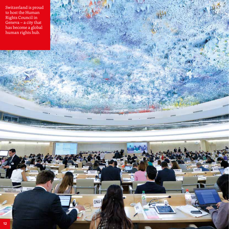Switzerland is proud to host the Human Rights Council in Geneva – a city that has become a global human rights hub.



**Parishine**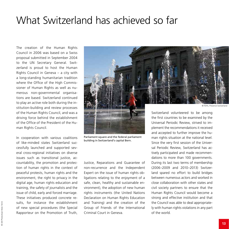#### What Switzerland has achieved so far

The creation of the Human Rights Council in 2006 was based on a Swiss proposal submitted in September 2004 to the UN Secretary General. Switzerland is proud to host the Human Rights Council in Geneva – a city with a long-standing humanitarian tradition where the Office of the High Commissioner of Human Rights as well as numerous non-governmental organisations are based. Switzerland continued to play an active role both during the institution-building and review processes of the Human Rights Council, and was a driving force behind the establishment of the Office of the President of the Human Rights Council.

In cooperation with various coalitions of like-minded states Switzerland successfully launched and supported several cross-regional initiatives on diverse issues such as transitional justice, accountability, the promotion and protection of human rights in the context of peaceful protests, human rights and the environment, the right to privacy in the digital age, human rights education and training, the safety of journalists and the issue of child, early and forced marriage. These initiatives produced concrete results, for instance the establishment of new special procedures (the Special Rapporteur on the Promotion of Truth,



Parliament square and the federal parliament building in Switzerland's capital Bern.

Justice, Reparations and Guarantee of non-recurrence and the Independent Expert on the issue of human rights obligations relating to the enjoyment of a safe, clean, healthy and sustainable environment), the adoption of new human rights instruments (the United Nations Declaration on Human Rights Education and Training) and the creation of the Group of Friends of the International Criminal Court in Geneva.

Universal Periodic Review, strived to implement the recommendations it received and accepted to further improve the human rights situation at the national level. Since the very first session of the Universal Periodic Review, Switzerland has actively participated and made recommendations to more than 100 governments. During its last two terms of membership (2006–2009 and 2010–2013) Switzerland spared no effort to build bridges between numerous actors and worked in close collaboration with other states and civil society partners to ensure that the Human Rights Council would become a strong and effective institution and that the Council was able to deal appropriately with human rights violations in any part of the world.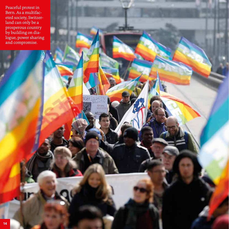Peaceful protest in Bern. As a multifaceted society, Switzerland can only be a prosperous country by building on dialogue, power sharing and compromise.

**NDER** 

**ALH UILI** 密田 FLD.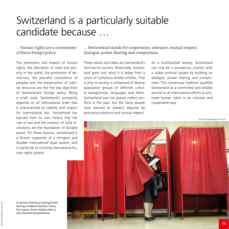### Switzerland is a particularly suitable candidate because …

#### … human rights are a cornerstone of Swiss foreign policy.

The promotion and respect of human rights, the alleviation of need and poverty in the world, the promotion of democracy, the peaceful coexistence of peoples and the preservation of natural resources are the five key objectives of Switzerland's foreign policy. Being a small state, Switzerland's prosperity depends on an international order that is characterised by stability and respect for international law. Switzerland has learned from its own history that the rule of law and the creation of solid institutions are the foundation of durable peace. For these reasons, Switzerland is a fervent supporter of a stringent and durable international legal system, and in particular of a strong international human rights system.

… Switzerland stands for cooperation, tolerance, mutual respect, dialogue, power sharing and compromise.

These values and ideas are Switzerland's formula for success. Historically, Switzerland grew into what it is today from a union of numerous smaller entities. That is why its society is composed of diverse population groups of different cultural backgrounds, languages and faiths. Switzerland was not spared violent conflicts in the past, but the Swiss people have learned to prevent disputes by practising tolerance and mutual respect.

As a multifaceted society, Switzerland can only be a prosperous country with a stable political system by building on dialogue, power sharing and compromise. This consensual tradition qualifies Switzerland as a committed and reliable partner in all international efforts to promote human rights in an inclusive and cooperative way.

© KEYSTONE/Salvatore Di Nolfi



A woman leaving a voting booth during a federal election. Every four years, Swiss citizens elect a new bicameral parliament.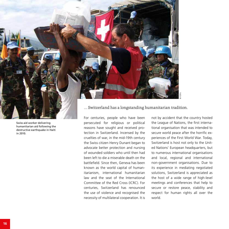

Swiss aid worker delivering humanitarian aid following the destructive earthquake in Haiti in 2010.

… Switzerland has a longstanding humanitarian tradition.

For centuries, people who have been persecuted for religious or political reasons have sought and received protection in Switzerland. Incensed by the cruelties of war, in the mid-19th century the Swiss citizen Henry Dunant began to advocate better protection and nursing of wounded soldiers who until then had been left to die a miserable death on the battlefield. Since then, Geneva has been known as the world capital of humanitarianism, international humanitarian law and the seat of the International Committee of the Red Cross (ICRC). For centuries, Switzerland has renounced the use of violence and recognised the necessity of multilateral cooperation. It is

not by accident that the country hosted the League of Nations, the first international organisation that was intended to secure world peace after the horrific experiences of the First World War. Today, Switzerland is host not only to the United Nations' European headquarters, but to numerous international organisations and local, regional and international non-government organisations. Due to its experience in mediating negotiated solutions, Switzerland is appreciated as the host of a wide range of high-level meetings and conferences that help to secure or restore peace, stability and respect for human rights all over the world.